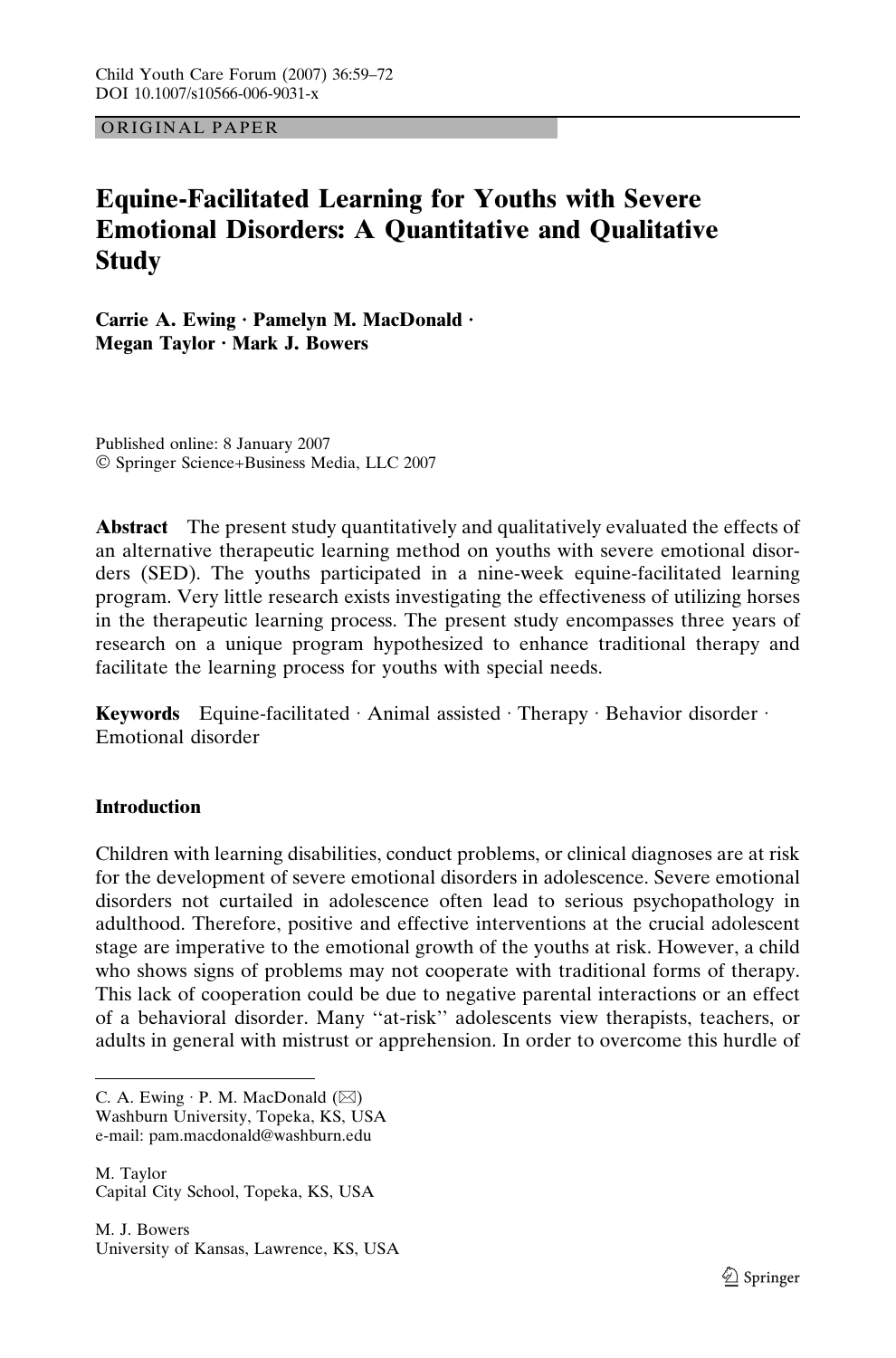ORIGINAL PAPER

# Equine-Facilitated Learning for Youths with Severe Emotional Disorders: A Quantitative and Qualitative Study

Carrie A. Ewing  $\cdot$  Pamelyn M. MacDonald  $\cdot$ Megan Taylor · Mark J. Bowers

Published online: 8 January 2007 Springer Science+Business Media, LLC 2007

Abstract The present study quantitatively and qualitatively evaluated the effects of an alternative therapeutic learning method on youths with severe emotional disorders (SED). The youths participated in a nine-week equine-facilitated learning program. Very little research exists investigating the effectiveness of utilizing horses in the therapeutic learning process. The present study encompasses three years of research on a unique program hypothesized to enhance traditional therapy and facilitate the learning process for youths with special needs.

**Keywords** Equine-facilitated **Animal assisted** Therapy Behavior disorder Emotional disorder

### Introduction

Children with learning disabilities, conduct problems, or clinical diagnoses are at risk for the development of severe emotional disorders in adolescence. Severe emotional disorders not curtailed in adolescence often lead to serious psychopathology in adulthood. Therefore, positive and effective interventions at the crucial adolescent stage are imperative to the emotional growth of the youths at risk. However, a child who shows signs of problems may not cooperate with traditional forms of therapy. This lack of cooperation could be due to negative parental interactions or an effect of a behavioral disorder. Many ''at-risk'' adolescents view therapists, teachers, or adults in general with mistrust or apprehension. In order to overcome this hurdle of

M. Taylor Capital City School, Topeka, KS, USA

M. J. Bowers University of Kansas, Lawrence, KS, USA

C. A. Ewing  $\cdot$  P. M. MacDonald ( $\boxtimes$ )

Washburn University, Topeka, KS, USA e-mail: pam.macdonald@washburn.edu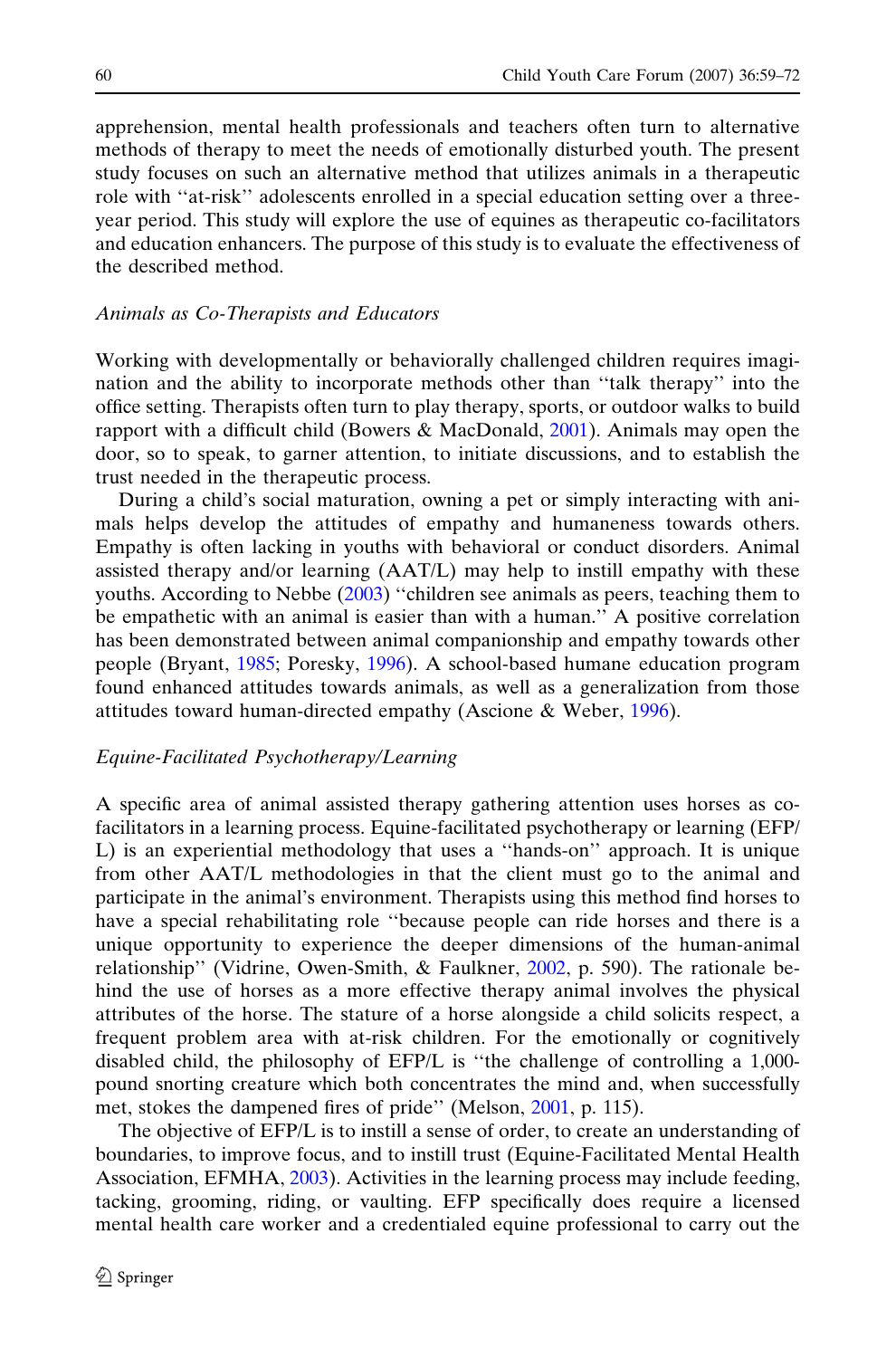apprehension, mental health professionals and teachers often turn to alternative methods of therapy to meet the needs of emotionally disturbed youth. The present study focuses on such an alternative method that utilizes animals in a therapeutic role with ''at-risk'' adolescents enrolled in a special education setting over a threeyear period. This study will explore the use of equines as therapeutic co-facilitators and education enhancers. The purpose of this study is to evaluate the effectiveness of the described method.

#### Animals as Co-Therapists and Educators

Working with developmentally or behaviorally challenged children requires imagination and the ability to incorporate methods other than ''talk therapy'' into the office setting. Therapists often turn to play therapy, sports, or outdoor walks to build rapport with a difficult child (Bowers  $& MacDonald, 2001$ ). Animals may open the door, so to speak, to garner attention, to initiate discussions, and to establish the trust needed in the therapeutic process.

During a child's social maturation, owning a pet or simply interacting with animals helps develop the attitudes of empathy and humaneness towards others. Empathy is often lacking in youths with behavioral or conduct disorders. Animal assisted therapy and/or learning (AAT/L) may help to instill empathy with these youths. According to Nebbe (2003) ''children see animals as peers, teaching them to be empathetic with an animal is easier than with a human.'' A positive correlation has been demonstrated between animal companionship and empathy towards other people (Bryant, 1985; Poresky, 1996). A school-based humane education program found enhanced attitudes towards animals, as well as a generalization from those attitudes toward human-directed empathy (Ascione & Weber, 1996).

#### Equine-Facilitated Psychotherapy/Learning

A specific area of animal assisted therapy gathering attention uses horses as cofacilitators in a learning process. Equine-facilitated psychotherapy or learning (EFP/ L) is an experiential methodology that uses a ''hands-on'' approach. It is unique from other AAT/L methodologies in that the client must go to the animal and participate in the animal's environment. Therapists using this method find horses to have a special rehabilitating role ''because people can ride horses and there is a unique opportunity to experience the deeper dimensions of the human-animal relationship" (Vidrine, Owen-Smith, & Faulkner, 2002, p. 590). The rationale behind the use of horses as a more effective therapy animal involves the physical attributes of the horse. The stature of a horse alongside a child solicits respect, a frequent problem area with at-risk children. For the emotionally or cognitively disabled child, the philosophy of EFP/L is ''the challenge of controlling a 1,000 pound snorting creature which both concentrates the mind and, when successfully met, stokes the dampened fires of pride'' (Melson, 2001, p. 115).

The objective of EFP/L is to instill a sense of order, to create an understanding of boundaries, to improve focus, and to instill trust (Equine-Facilitated Mental Health Association, EFMHA, 2003). Activities in the learning process may include feeding, tacking, grooming, riding, or vaulting. EFP specifically does require a licensed mental health care worker and a credentialed equine professional to carry out the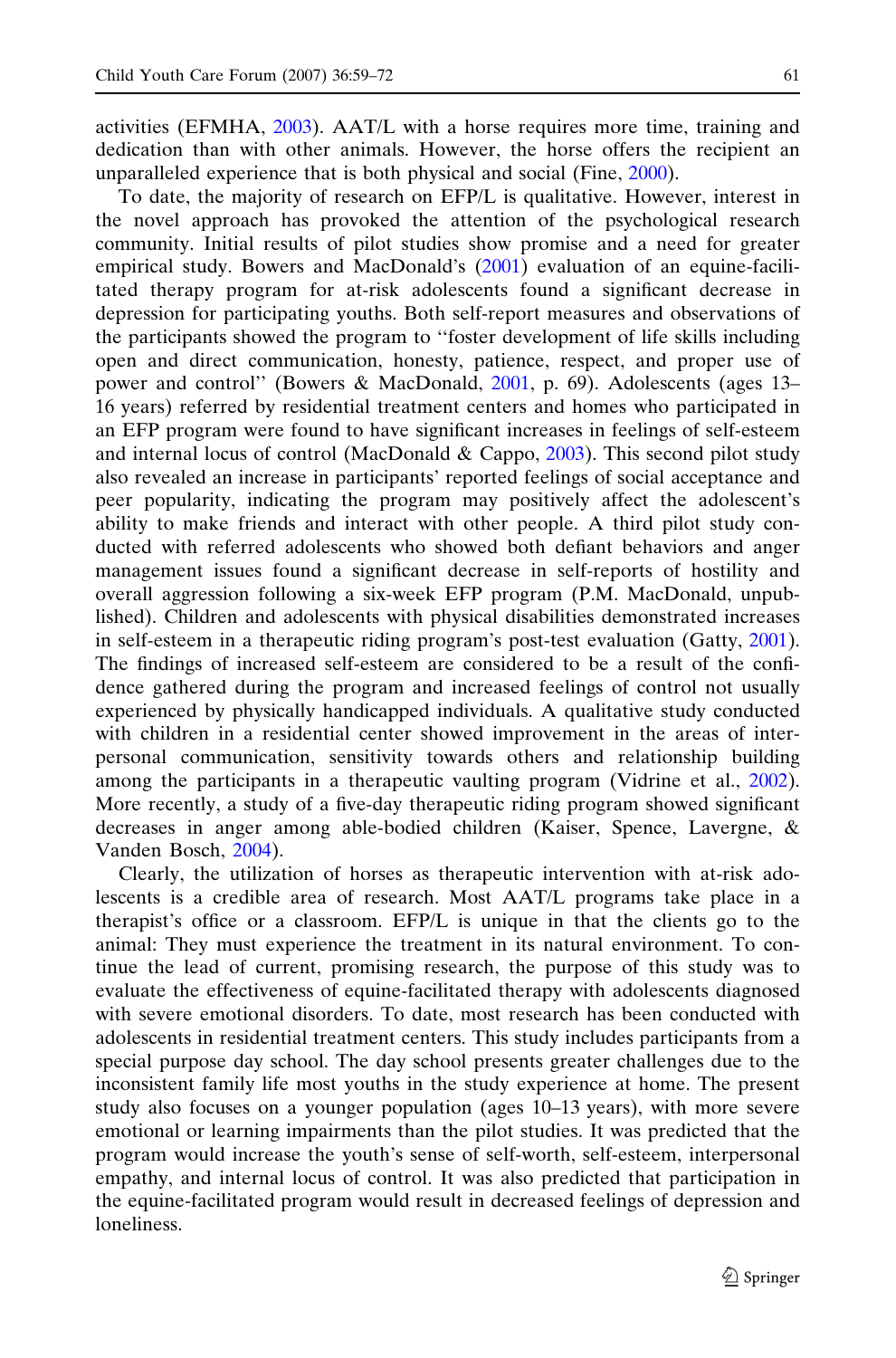activities (EFMHA, 2003). AAT/L with a horse requires more time, training and dedication than with other animals. However, the horse offers the recipient an unparalleled experience that is both physical and social (Fine, 2000).

To date, the majority of research on EFP/L is qualitative. However, interest in the novel approach has provoked the attention of the psychological research community. Initial results of pilot studies show promise and a need for greater empirical study. Bowers and MacDonald's (2001) evaluation of an equine-facilitated therapy program for at-risk adolescents found a significant decrease in depression for participating youths. Both self-report measures and observations of the participants showed the program to ''foster development of life skills including open and direct communication, honesty, patience, respect, and proper use of power and control'' (Bowers & MacDonald, 2001, p. 69). Adolescents (ages 13– 16 years) referred by residential treatment centers and homes who participated in an EFP program were found to have significant increases in feelings of self-esteem and internal locus of control (MacDonald & Cappo, 2003). This second pilot study also revealed an increase in participants' reported feelings of social acceptance and peer popularity, indicating the program may positively affect the adolescent's ability to make friends and interact with other people. A third pilot study conducted with referred adolescents who showed both defiant behaviors and anger management issues found a significant decrease in self-reports of hostility and overall aggression following a six-week EFP program (P.M. MacDonald, unpublished). Children and adolescents with physical disabilities demonstrated increases in self-esteem in a therapeutic riding program's post-test evaluation (Gatty, 2001). The findings of increased self-esteem are considered to be a result of the confidence gathered during the program and increased feelings of control not usually experienced by physically handicapped individuals. A qualitative study conducted with children in a residential center showed improvement in the areas of interpersonal communication, sensitivity towards others and relationship building among the participants in a therapeutic vaulting program (Vidrine et al., 2002). More recently, a study of a five-day therapeutic riding program showed significant decreases in anger among able-bodied children (Kaiser, Spence, Lavergne, & Vanden Bosch, 2004).

Clearly, the utilization of horses as therapeutic intervention with at-risk adolescents is a credible area of research. Most AAT/L programs take place in a therapist's office or a classroom. EFP/L is unique in that the clients go to the animal: They must experience the treatment in its natural environment. To continue the lead of current, promising research, the purpose of this study was to evaluate the effectiveness of equine-facilitated therapy with adolescents diagnosed with severe emotional disorders. To date, most research has been conducted with adolescents in residential treatment centers. This study includes participants from a special purpose day school. The day school presents greater challenges due to the inconsistent family life most youths in the study experience at home. The present study also focuses on a younger population (ages 10–13 years), with more severe emotional or learning impairments than the pilot studies. It was predicted that the program would increase the youth's sense of self-worth, self-esteem, interpersonal empathy, and internal locus of control. It was also predicted that participation in the equine-facilitated program would result in decreased feelings of depression and loneliness.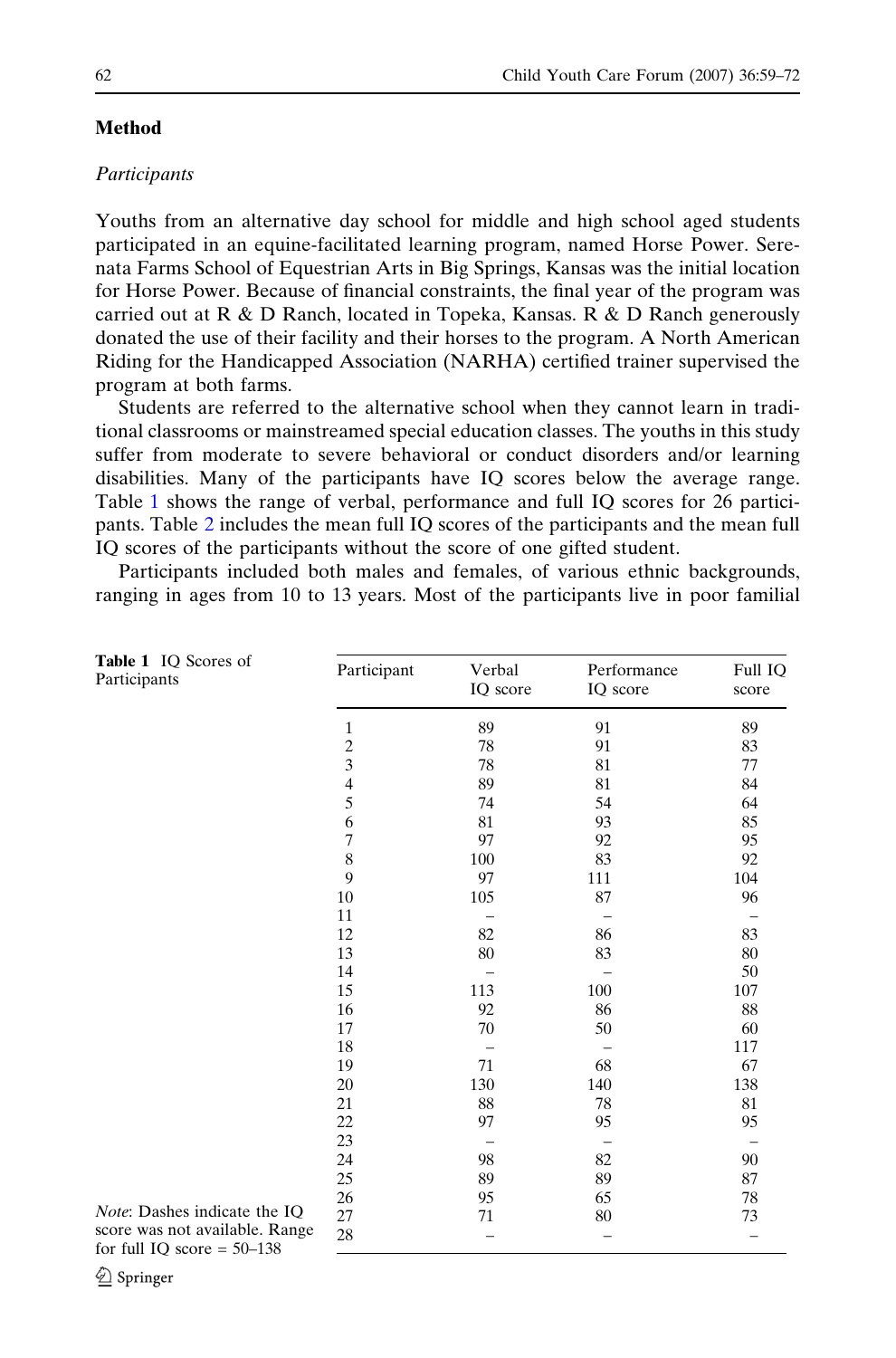### Method

### **Participants**

Youths from an alternative day school for middle and high school aged students participated in an equine-facilitated learning program, named Horse Power. Serenata Farms School of Equestrian Arts in Big Springs, Kansas was the initial location for Horse Power. Because of financial constraints, the final year of the program was carried out at R & D Ranch, located in Topeka, Kansas. R & D Ranch generously donated the use of their facility and their horses to the program. A North American Riding for the Handicapped Association (NARHA) certified trainer supervised the program at both farms.

Students are referred to the alternative school when they cannot learn in traditional classrooms or mainstreamed special education classes. The youths in this study suffer from moderate to severe behavioral or conduct disorders and/or learning disabilities. Many of the participants have IQ scores below the average range. Table 1 shows the range of verbal, performance and full IQ scores for 26 participants. Table 2 includes the mean full IQ scores of the participants and the mean full IQ scores of the participants without the score of one gifted student.

Participants included both males and females, of various ethnic backgrounds, ranging in ages from 10 to 13 years. Most of the participants live in poor familial

| Table 1 IQ Scores of<br>Participants                           | Participant              | Verbal<br>IQ score | Performance<br>IQ score | Full IQ<br>score |
|----------------------------------------------------------------|--------------------------|--------------------|-------------------------|------------------|
|                                                                | 1                        | 89                 | 91                      | 89               |
|                                                                | $\overline{c}$           | 78                 | 91                      | 83               |
|                                                                | $\overline{\mathbf{3}}$  | 78                 | 81                      | 77               |
|                                                                | $\overline{\mathcal{L}}$ | 89                 | 81                      | 84               |
|                                                                | 5                        | 74                 | 54                      | 64               |
|                                                                | 6                        | 81                 | 93                      | 85               |
|                                                                | 7                        | 97                 | 92                      | 95               |
|                                                                | $\,$ 8 $\,$              | 100                | 83                      | 92               |
|                                                                | 9                        | 97                 | 111                     | 104              |
|                                                                | 10                       | 105                | 87                      | 96               |
|                                                                | 11                       |                    |                         |                  |
|                                                                | 12                       | 82                 | 86                      | 83               |
|                                                                | 13                       | 80                 | 83                      | 80               |
|                                                                | 14                       |                    |                         | 50               |
|                                                                | 15                       | 113                | 100                     | 107              |
|                                                                | 16                       | 92                 | 86                      | 88               |
|                                                                | 17                       | 70                 | 50                      | 60               |
|                                                                | 18                       |                    |                         | 117              |
|                                                                | 19                       | 71                 | 68                      | 67               |
|                                                                | 20                       | 130                | 140                     | 138              |
|                                                                | 21                       | 88                 | 78                      | 81               |
|                                                                | 22                       | 97                 | 95                      | 95               |
|                                                                | 23                       |                    |                         |                  |
|                                                                | 24                       | 98                 | 82                      | 90               |
|                                                                | 25                       | 89                 | 89                      | 87               |
|                                                                | 26                       | 95                 | 65                      | 78               |
| Note: Dashes indicate the IQ                                   | 27                       | 71                 | 80                      | 73               |
| score was not available. Range<br>for full IO score = $50-138$ | 28                       |                    |                         |                  |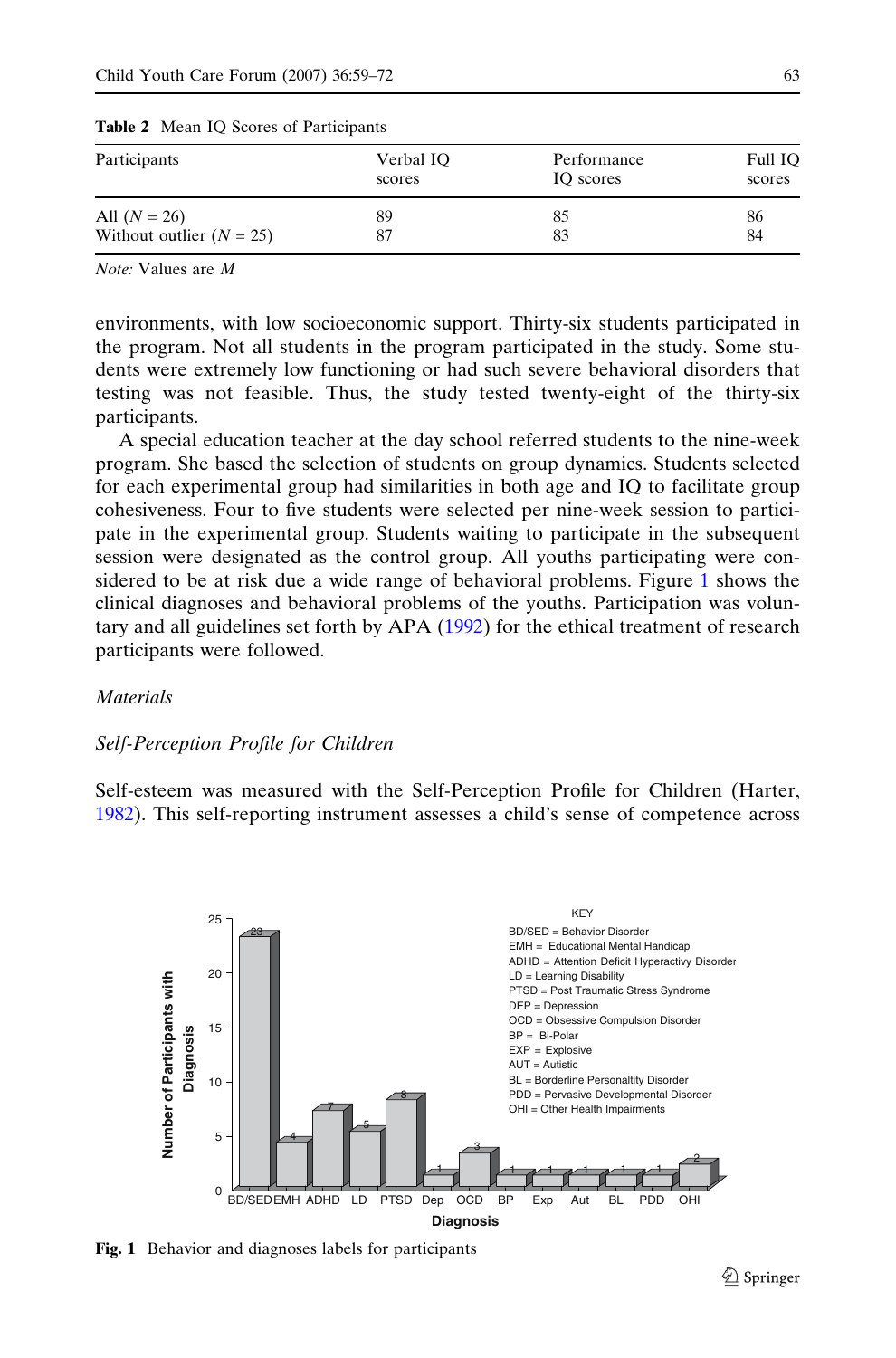| Participants               | Verbal IO | Performance | Full IO |
|----------------------------|-----------|-------------|---------|
|                            | scores    | IO scores   | scores  |
| All $(N = 26)$             | 89        | 85          | 86      |
| Without outlier $(N = 25)$ | 87        | 83          | 84      |

|  |  |  |  |  |  |  |  |  | <b>Table 2</b> Mean IQ Scores of Participants |
|--|--|--|--|--|--|--|--|--|-----------------------------------------------|
|--|--|--|--|--|--|--|--|--|-----------------------------------------------|

Note: Values are M

environments, with low socioeconomic support. Thirty-six students participated in the program. Not all students in the program participated in the study. Some students were extremely low functioning or had such severe behavioral disorders that testing was not feasible. Thus, the study tested twenty-eight of the thirty-six participants.

A special education teacher at the day school referred students to the nine-week program. She based the selection of students on group dynamics. Students selected for each experimental group had similarities in both age and IQ to facilitate group cohesiveness. Four to five students were selected per nine-week session to participate in the experimental group. Students waiting to participate in the subsequent session were designated as the control group. All youths participating were considered to be at risk due a wide range of behavioral problems. Figure 1 shows the clinical diagnoses and behavioral problems of the youths. Participation was voluntary and all guidelines set forth by APA (1992) for the ethical treatment of research participants were followed.

#### **Materials**

#### Self-Perception Profile for Children

Self-esteem was measured with the Self-Perception Profile for Children (Harter, 1982). This self-reporting instrument assesses a child's sense of competence across



Fig. 1 Behavior and diagnoses labels for participants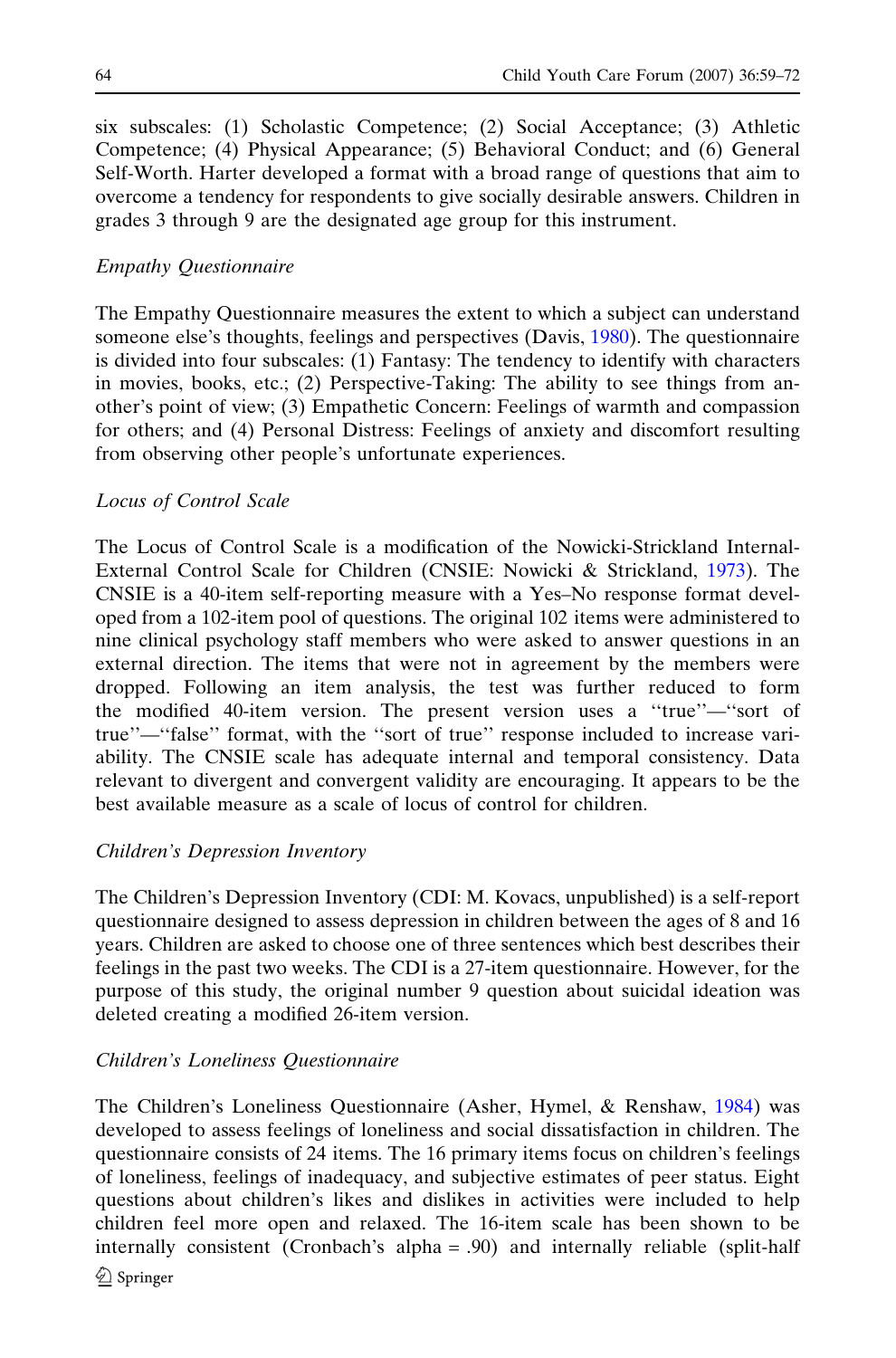six subscales: (1) Scholastic Competence; (2) Social Acceptance; (3) Athletic Competence; (4) Physical Appearance; (5) Behavioral Conduct; and (6) General Self-Worth. Harter developed a format with a broad range of questions that aim to overcome a tendency for respondents to give socially desirable answers. Children in grades 3 through 9 are the designated age group for this instrument.

### Empathy Questionnaire

The Empathy Questionnaire measures the extent to which a subject can understand someone else's thoughts, feelings and perspectives (Davis, 1980). The questionnaire is divided into four subscales: (1) Fantasy: The tendency to identify with characters in movies, books, etc.; (2) Perspective-Taking: The ability to see things from another's point of view; (3) Empathetic Concern: Feelings of warmth and compassion for others; and (4) Personal Distress: Feelings of anxiety and discomfort resulting from observing other people's unfortunate experiences.

# Locus of Control Scale

The Locus of Control Scale is a modification of the Nowicki-Strickland Internal-External Control Scale for Children (CNSIE: Nowicki & Strickland, 1973). The CNSIE is a 40-item self-reporting measure with a Yes–No response format developed from a 102-item pool of questions. The original 102 items were administered to nine clinical psychology staff members who were asked to answer questions in an external direction. The items that were not in agreement by the members were dropped. Following an item analysis, the test was further reduced to form the modified 40-item version. The present version uses a ''true''—''sort of true''—''false'' format, with the ''sort of true'' response included to increase variability. The CNSIE scale has adequate internal and temporal consistency. Data relevant to divergent and convergent validity are encouraging. It appears to be the best available measure as a scale of locus of control for children.

### Children's Depression Inventory

The Children's Depression Inventory (CDI: M. Kovacs, unpublished) is a self-report questionnaire designed to assess depression in children between the ages of 8 and 16 years. Children are asked to choose one of three sentences which best describes their feelings in the past two weeks. The CDI is a 27-item questionnaire. However, for the purpose of this study, the original number 9 question about suicidal ideation was deleted creating a modified 26-item version.

### Children's Loneliness Questionnaire

The Children's Loneliness Questionnaire (Asher, Hymel, & Renshaw, 1984) was developed to assess feelings of loneliness and social dissatisfaction in children. The questionnaire consists of 24 items. The 16 primary items focus on children's feelings of loneliness, feelings of inadequacy, and subjective estimates of peer status. Eight questions about children's likes and dislikes in activities were included to help children feel more open and relaxed. The 16-item scale has been shown to be internally consistent (Cronbach's alpha = .90) and internally reliable (split-half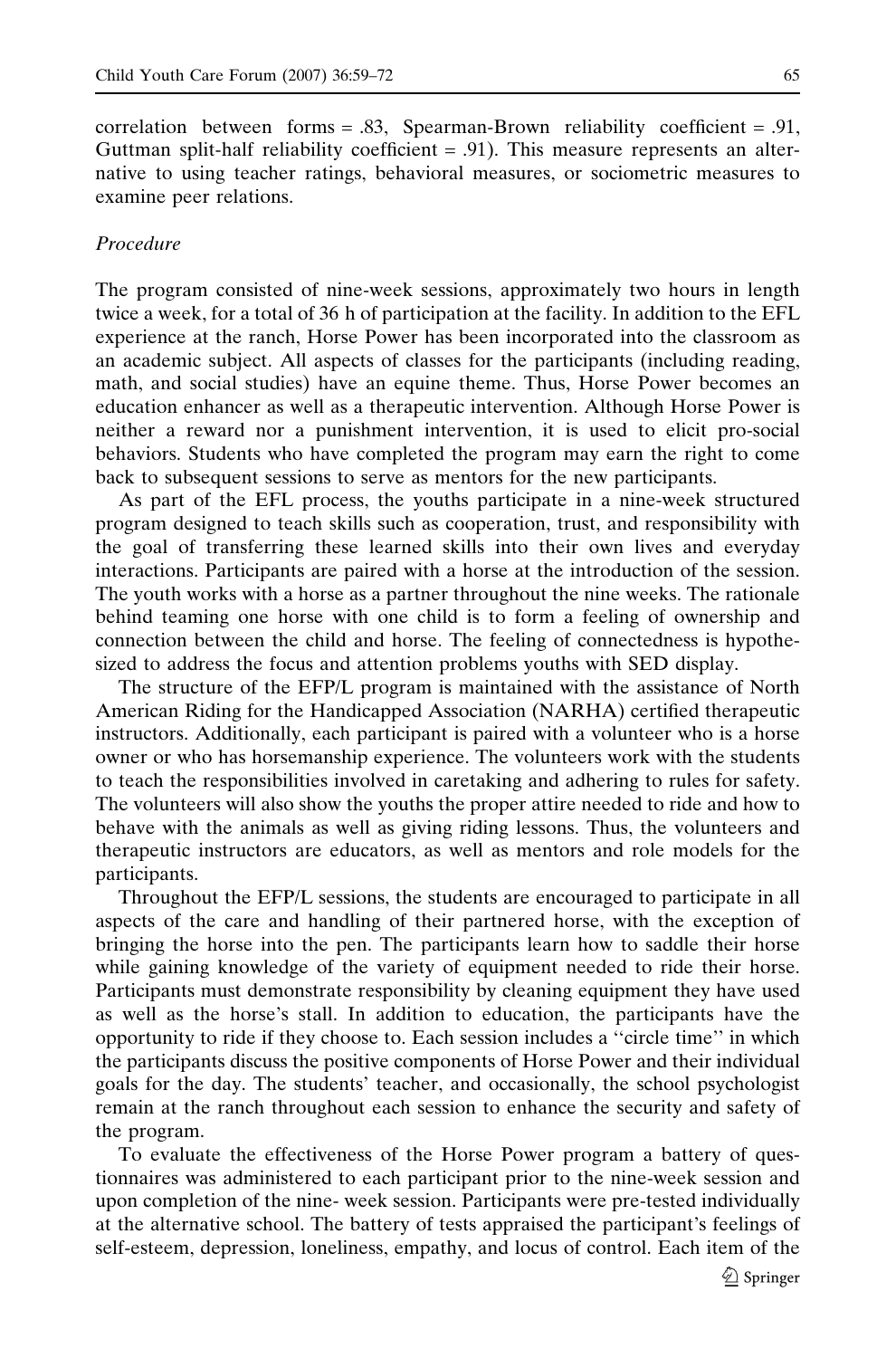correlation between forms = .83, Spearman-Brown reliability coefficient = .91, Guttman split-half reliability coefficient  $= .91$ ). This measure represents an alternative to using teacher ratings, behavioral measures, or sociometric measures to examine peer relations.

#### Procedure

The program consisted of nine-week sessions, approximately two hours in length twice a week, for a total of 36 h of participation at the facility. In addition to the EFL experience at the ranch, Horse Power has been incorporated into the classroom as an academic subject. All aspects of classes for the participants (including reading, math, and social studies) have an equine theme. Thus, Horse Power becomes an education enhancer as well as a therapeutic intervention. Although Horse Power is neither a reward nor a punishment intervention, it is used to elicit pro-social behaviors. Students who have completed the program may earn the right to come back to subsequent sessions to serve as mentors for the new participants.

As part of the EFL process, the youths participate in a nine-week structured program designed to teach skills such as cooperation, trust, and responsibility with the goal of transferring these learned skills into their own lives and everyday interactions. Participants are paired with a horse at the introduction of the session. The youth works with a horse as a partner throughout the nine weeks. The rationale behind teaming one horse with one child is to form a feeling of ownership and connection between the child and horse. The feeling of connectedness is hypothesized to address the focus and attention problems youths with SED display.

The structure of the EFP/L program is maintained with the assistance of North American Riding for the Handicapped Association (NARHA) certified therapeutic instructors. Additionally, each participant is paired with a volunteer who is a horse owner or who has horsemanship experience. The volunteers work with the students to teach the responsibilities involved in caretaking and adhering to rules for safety. The volunteers will also show the youths the proper attire needed to ride and how to behave with the animals as well as giving riding lessons. Thus, the volunteers and therapeutic instructors are educators, as well as mentors and role models for the participants.

Throughout the EFP/L sessions, the students are encouraged to participate in all aspects of the care and handling of their partnered horse, with the exception of bringing the horse into the pen. The participants learn how to saddle their horse while gaining knowledge of the variety of equipment needed to ride their horse. Participants must demonstrate responsibility by cleaning equipment they have used as well as the horse's stall. In addition to education, the participants have the opportunity to ride if they choose to. Each session includes a ''circle time'' in which the participants discuss the positive components of Horse Power and their individual goals for the day. The students' teacher, and occasionally, the school psychologist remain at the ranch throughout each session to enhance the security and safety of the program.

To evaluate the effectiveness of the Horse Power program a battery of questionnaires was administered to each participant prior to the nine-week session and upon completion of the nine- week session. Participants were pre-tested individually at the alternative school. The battery of tests appraised the participant's feelings of self-esteem, depression, loneliness, empathy, and locus of control. Each item of the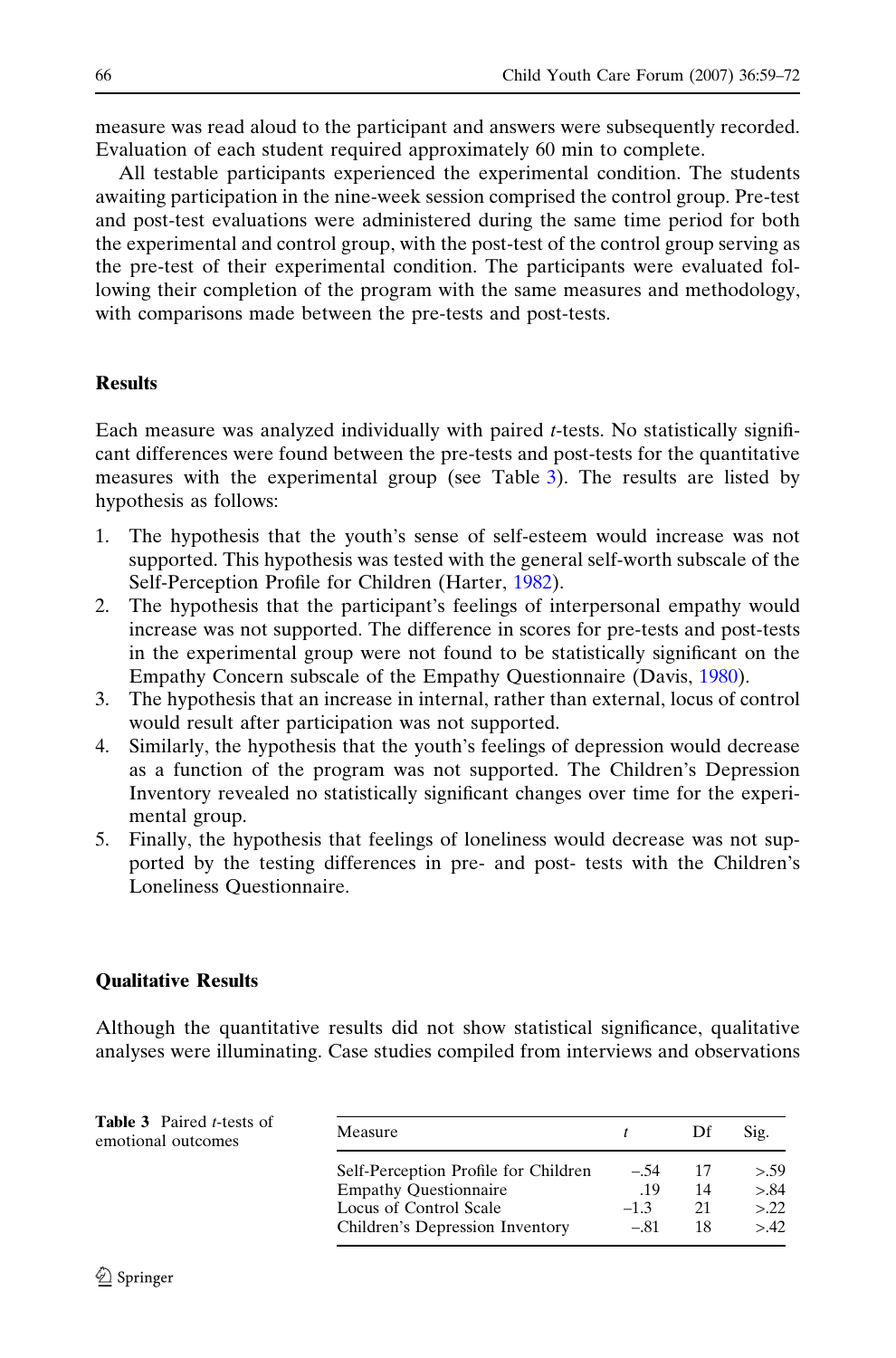measure was read aloud to the participant and answers were subsequently recorded. Evaluation of each student required approximately 60 min to complete.

All testable participants experienced the experimental condition. The students awaiting participation in the nine-week session comprised the control group. Pre-test and post-test evaluations were administered during the same time period for both the experimental and control group, with the post-test of the control group serving as the pre-test of their experimental condition. The participants were evaluated following their completion of the program with the same measures and methodology, with comparisons made between the pre-tests and post-tests.

### **Results**

Each measure was analyzed individually with paired t-tests. No statistically significant differences were found between the pre-tests and post-tests for the quantitative measures with the experimental group (see Table 3). The results are listed by hypothesis as follows:

- 1. The hypothesis that the youth's sense of self-esteem would increase was not supported. This hypothesis was tested with the general self-worth subscale of the Self-Perception Profile for Children (Harter, 1982).
- 2. The hypothesis that the participant's feelings of interpersonal empathy would increase was not supported. The difference in scores for pre-tests and post-tests in the experimental group were not found to be statistically significant on the Empathy Concern subscale of the Empathy Questionnaire (Davis, 1980).
- 3. The hypothesis that an increase in internal, rather than external, locus of control would result after participation was not supported.
- 4. Similarly, the hypothesis that the youth's feelings of depression would decrease as a function of the program was not supported. The Children's Depression Inventory revealed no statistically significant changes over time for the experimental group.
- 5. Finally, the hypothesis that feelings of loneliness would decrease was not supported by the testing differences in pre- and post- tests with the Children's Loneliness Questionnaire.

#### Qualitative Results

Although the quantitative results did not show statistical significance, qualitative analyses were illuminating. Case studies compiled from interviews and observations

| <b>Table 3</b> Paired <i>t</i> -tests of<br>emotional outcomes | Measure                              |        | Df | Sig. |  |
|----------------------------------------------------------------|--------------------------------------|--------|----|------|--|
|                                                                | Self-Perception Profile for Children | $-.54$ | 17 | > 59 |  |
|                                                                | <b>Empathy Questionnaire</b>         | .19    | 14 | > 84 |  |
|                                                                | Locus of Control Scale               | $-1.3$ | 21 | > 22 |  |
|                                                                | Children's Depression Inventory      | $-.81$ | 18 | >42  |  |
|                                                                |                                      |        |    |      |  |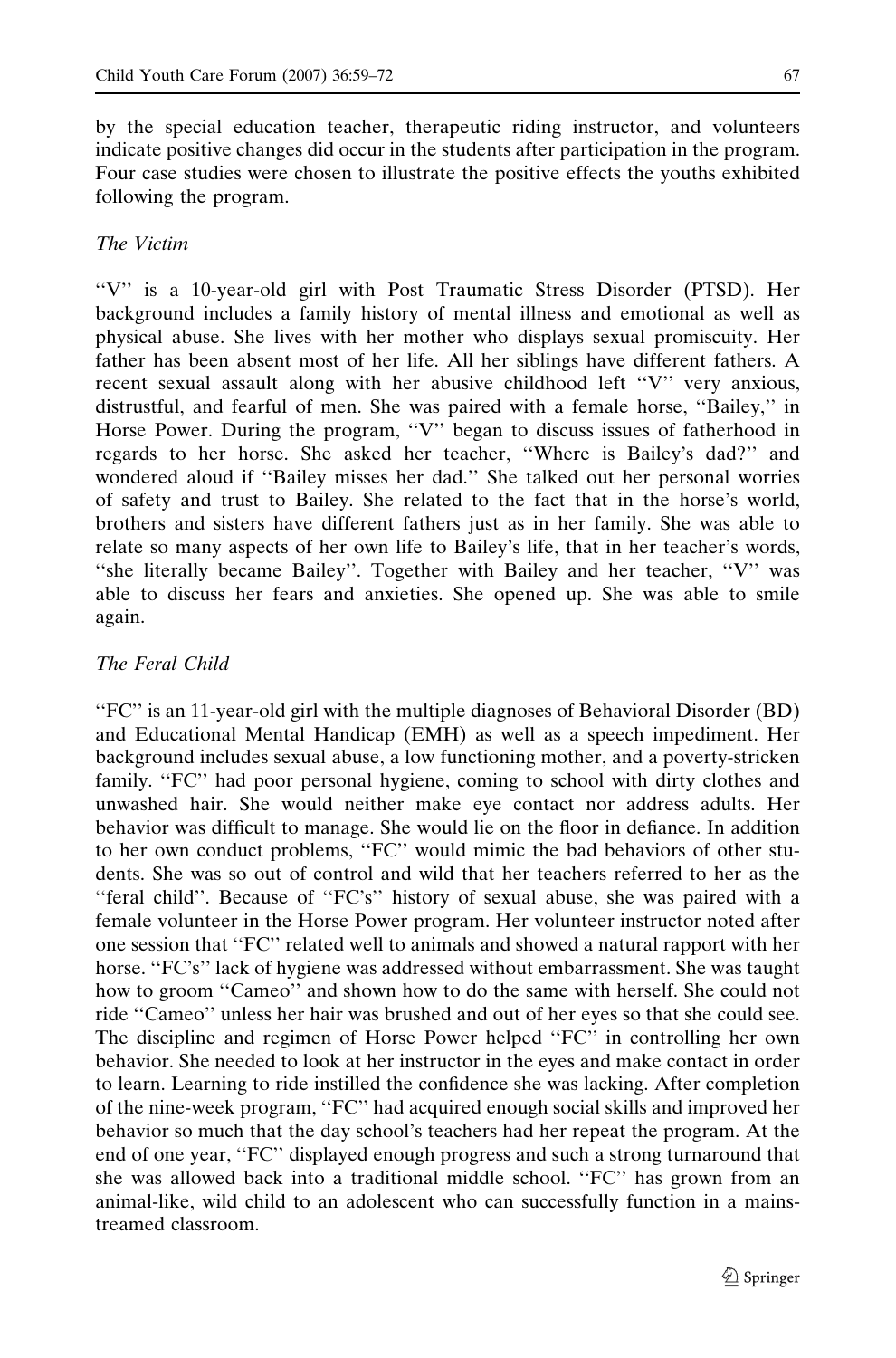by the special education teacher, therapeutic riding instructor, and volunteers indicate positive changes did occur in the students after participation in the program. Four case studies were chosen to illustrate the positive effects the youths exhibited following the program.

#### The Victim

"V" is a 10-year-old girl with Post Traumatic Stress Disorder (PTSD). Her background includes a family history of mental illness and emotional as well as physical abuse. She lives with her mother who displays sexual promiscuity. Her father has been absent most of her life. All her siblings have different fathers. A recent sexual assault along with her abusive childhood left ''V'' very anxious, distrustful, and fearful of men. She was paired with a female horse, ''Bailey,'' in Horse Power. During the program, ''V'' began to discuss issues of fatherhood in regards to her horse. She asked her teacher, ''Where is Bailey's dad?'' and wondered aloud if ''Bailey misses her dad.'' She talked out her personal worries of safety and trust to Bailey. She related to the fact that in the horse's world, brothers and sisters have different fathers just as in her family. She was able to relate so many aspects of her own life to Bailey's life, that in her teacher's words, "she literally became Bailey". Together with Bailey and her teacher, "V" was able to discuss her fears and anxieties. She opened up. She was able to smile again.

#### The Feral Child

''FC'' is an 11-year-old girl with the multiple diagnoses of Behavioral Disorder (BD) and Educational Mental Handicap (EMH) as well as a speech impediment. Her background includes sexual abuse, a low functioning mother, and a poverty-stricken family. "FC" had poor personal hygiene, coming to school with dirty clothes and unwashed hair. She would neither make eye contact nor address adults. Her behavior was difficult to manage. She would lie on the floor in defiance. In addition to her own conduct problems, ''FC'' would mimic the bad behaviors of other students. She was so out of control and wild that her teachers referred to her as the ''feral child''. Because of ''FC's'' history of sexual abuse, she was paired with a female volunteer in the Horse Power program. Her volunteer instructor noted after one session that ''FC'' related well to animals and showed a natural rapport with her horse. "FC's" lack of hygiene was addressed without embarrassment. She was taught how to groom ''Cameo'' and shown how to do the same with herself. She could not ride ''Cameo'' unless her hair was brushed and out of her eyes so that she could see. The discipline and regimen of Horse Power helped ''FC'' in controlling her own behavior. She needed to look at her instructor in the eyes and make contact in order to learn. Learning to ride instilled the confidence she was lacking. After completion of the nine-week program, ''FC'' had acquired enough social skills and improved her behavior so much that the day school's teachers had her repeat the program. At the end of one year, ''FC'' displayed enough progress and such a strong turnaround that she was allowed back into a traditional middle school. ''FC'' has grown from an animal-like, wild child to an adolescent who can successfully function in a mainstreamed classroom.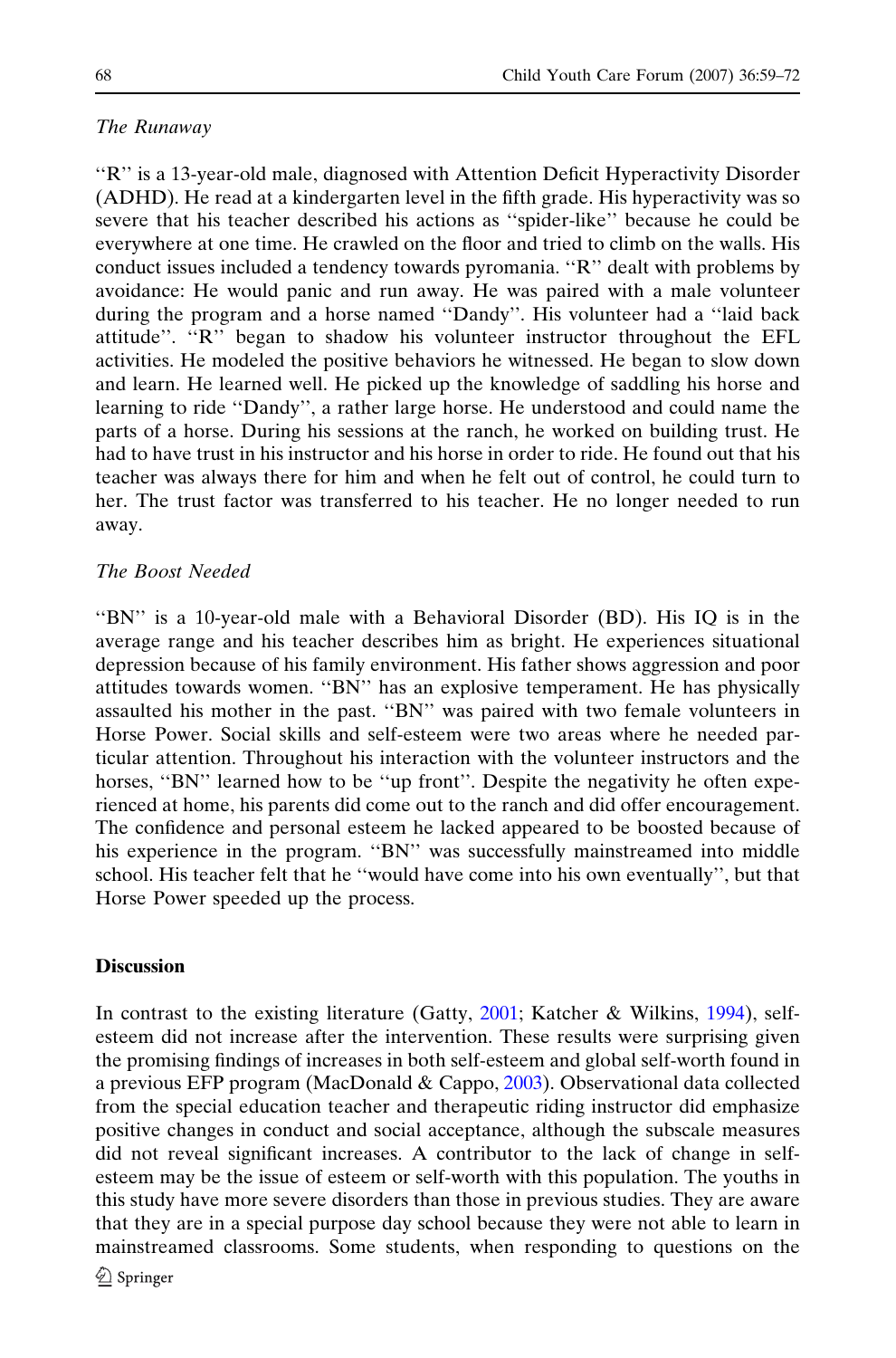### The Runaway

"R" is a 13-year-old male, diagnosed with Attention Deficit Hyperactivity Disorder (ADHD). He read at a kindergarten level in the fifth grade. His hyperactivity was so severe that his teacher described his actions as ''spider-like'' because he could be everywhere at one time. He crawled on the floor and tried to climb on the walls. His conduct issues included a tendency towards pyromania. ''R'' dealt with problems by avoidance: He would panic and run away. He was paired with a male volunteer during the program and a horse named ''Dandy''. His volunteer had a ''laid back attitude''. ''R'' began to shadow his volunteer instructor throughout the EFL activities. He modeled the positive behaviors he witnessed. He began to slow down and learn. He learned well. He picked up the knowledge of saddling his horse and learning to ride ''Dandy'', a rather large horse. He understood and could name the parts of a horse. During his sessions at the ranch, he worked on building trust. He had to have trust in his instructor and his horse in order to ride. He found out that his teacher was always there for him and when he felt out of control, he could turn to her. The trust factor was transferred to his teacher. He no longer needed to run away.

# The Boost Needed

"BN" is a 10-year-old male with a Behavioral Disorder (BD). His IQ is in the average range and his teacher describes him as bright. He experiences situational depression because of his family environment. His father shows aggression and poor attitudes towards women. ''BN'' has an explosive temperament. He has physically assaulted his mother in the past. ''BN'' was paired with two female volunteers in Horse Power. Social skills and self-esteem were two areas where he needed particular attention. Throughout his interaction with the volunteer instructors and the horses, "BN" learned how to be "up front". Despite the negativity he often experienced at home, his parents did come out to the ranch and did offer encouragement. The confidence and personal esteem he lacked appeared to be boosted because of his experience in the program. "BN" was successfully mainstreamed into middle school. His teacher felt that he ''would have come into his own eventually'', but that Horse Power speeded up the process.

### **Discussion**

In contrast to the existing literature (Gatty, 2001; Katcher & Wilkins, 1994), selfesteem did not increase after the intervention. These results were surprising given the promising findings of increases in both self-esteem and global self-worth found in a previous EFP program (MacDonald & Cappo, 2003). Observational data collected from the special education teacher and therapeutic riding instructor did emphasize positive changes in conduct and social acceptance, although the subscale measures did not reveal significant increases. A contributor to the lack of change in selfesteem may be the issue of esteem or self-worth with this population. The youths in this study have more severe disorders than those in previous studies. They are aware that they are in a special purpose day school because they were not able to learn in mainstreamed classrooms. Some students, when responding to questions on the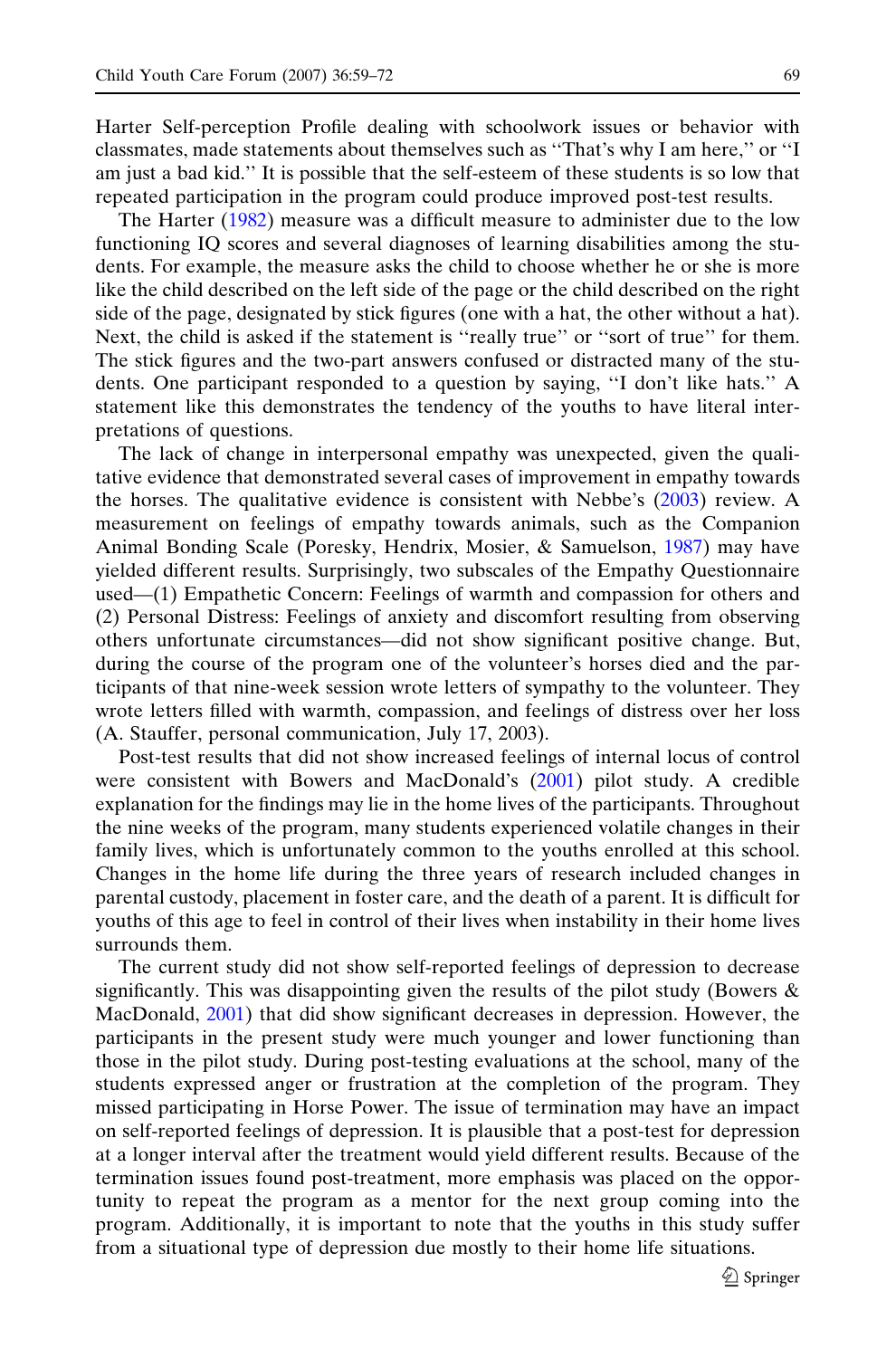Harter Self-perception Profile dealing with schoolwork issues or behavior with classmates, made statements about themselves such as ''That's why I am here,'' or ''I am just a bad kid.'' It is possible that the self-esteem of these students is so low that repeated participation in the program could produce improved post-test results.

The Harter (1982) measure was a difficult measure to administer due to the low functioning IQ scores and several diagnoses of learning disabilities among the students. For example, the measure asks the child to choose whether he or she is more like the child described on the left side of the page or the child described on the right side of the page, designated by stick figures (one with a hat, the other without a hat). Next, the child is asked if the statement is "really true" or "sort of true" for them. The stick figures and the two-part answers confused or distracted many of the students. One participant responded to a question by saying, ''I don't like hats.'' A statement like this demonstrates the tendency of the youths to have literal interpretations of questions.

The lack of change in interpersonal empathy was unexpected, given the qualitative evidence that demonstrated several cases of improvement in empathy towards the horses. The qualitative evidence is consistent with Nebbe's (2003) review. A measurement on feelings of empathy towards animals, such as the Companion Animal Bonding Scale (Poresky, Hendrix, Mosier, & Samuelson, 1987) may have yielded different results. Surprisingly, two subscales of the Empathy Questionnaire used—(1) Empathetic Concern: Feelings of warmth and compassion for others and (2) Personal Distress: Feelings of anxiety and discomfort resulting from observing others unfortunate circumstances—did not show significant positive change. But, during the course of the program one of the volunteer's horses died and the participants of that nine-week session wrote letters of sympathy to the volunteer. They wrote letters filled with warmth, compassion, and feelings of distress over her loss (A. Stauffer, personal communication, July 17, 2003).

Post-test results that did not show increased feelings of internal locus of control were consistent with Bowers and MacDonald's (2001) pilot study. A credible explanation for the findings may lie in the home lives of the participants. Throughout the nine weeks of the program, many students experienced volatile changes in their family lives, which is unfortunately common to the youths enrolled at this school. Changes in the home life during the three years of research included changes in parental custody, placement in foster care, and the death of a parent. It is difficult for youths of this age to feel in control of their lives when instability in their home lives surrounds them.

The current study did not show self-reported feelings of depression to decrease significantly. This was disappointing given the results of the pilot study (Bowers  $\&$ MacDonald, 2001) that did show significant decreases in depression. However, the participants in the present study were much younger and lower functioning than those in the pilot study. During post-testing evaluations at the school, many of the students expressed anger or frustration at the completion of the program. They missed participating in Horse Power. The issue of termination may have an impact on self-reported feelings of depression. It is plausible that a post-test for depression at a longer interval after the treatment would yield different results. Because of the termination issues found post-treatment, more emphasis was placed on the opportunity to repeat the program as a mentor for the next group coming into the program. Additionally, it is important to note that the youths in this study suffer from a situational type of depression due mostly to their home life situations.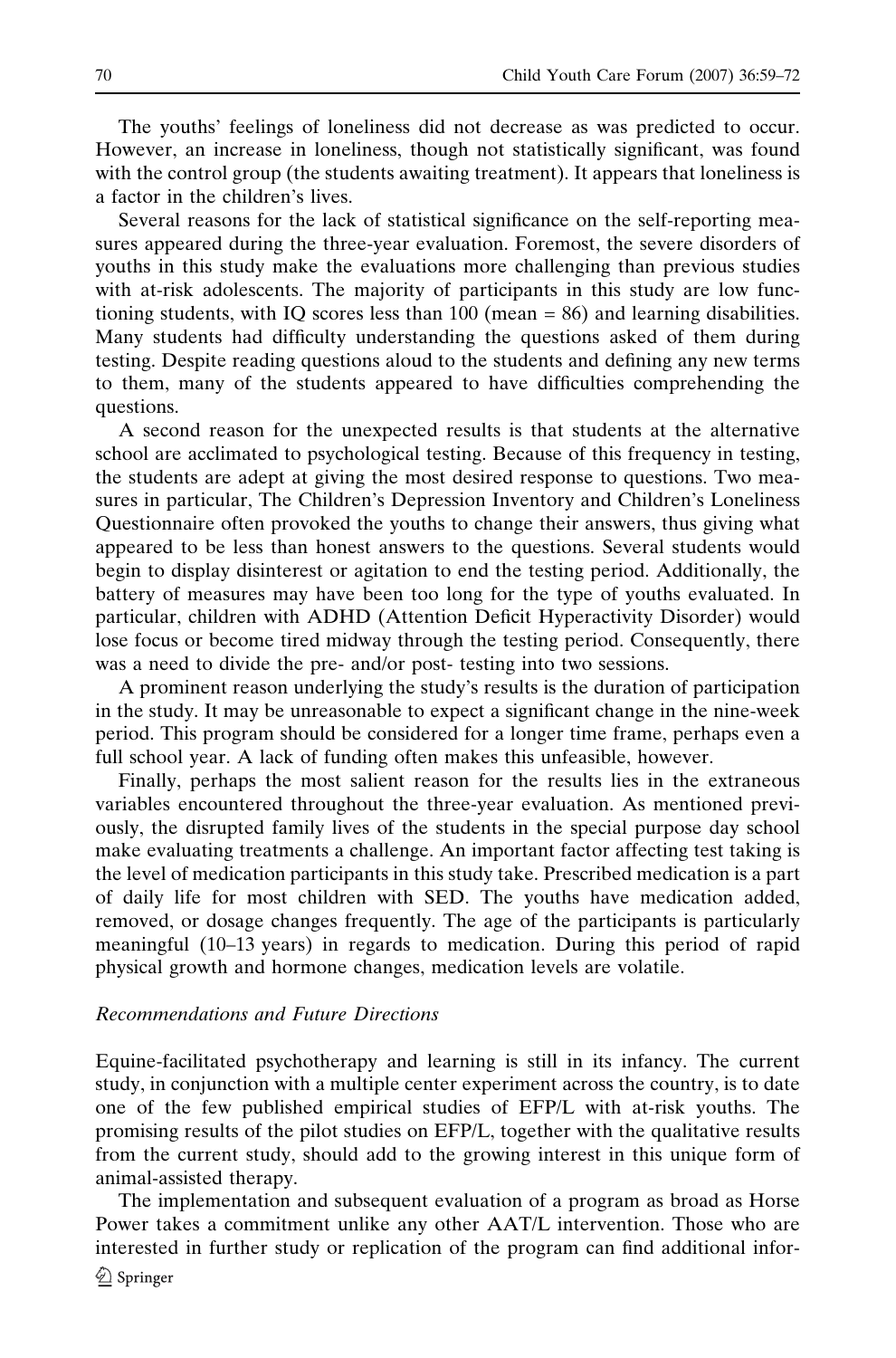The youths' feelings of loneliness did not decrease as was predicted to occur. However, an increase in loneliness, though not statistically significant, was found with the control group (the students awaiting treatment). It appears that loneliness is a factor in the children's lives.

Several reasons for the lack of statistical significance on the self-reporting measures appeared during the three-year evaluation. Foremost, the severe disorders of youths in this study make the evaluations more challenging than previous studies with at-risk adolescents. The majority of participants in this study are low functioning students, with IQ scores less than  $100$  (mean = 86) and learning disabilities. Many students had difficulty understanding the questions asked of them during testing. Despite reading questions aloud to the students and defining any new terms to them, many of the students appeared to have difficulties comprehending the questions.

A second reason for the unexpected results is that students at the alternative school are acclimated to psychological testing. Because of this frequency in testing, the students are adept at giving the most desired response to questions. Two measures in particular, The Children's Depression Inventory and Children's Loneliness Questionnaire often provoked the youths to change their answers, thus giving what appeared to be less than honest answers to the questions. Several students would begin to display disinterest or agitation to end the testing period. Additionally, the battery of measures may have been too long for the type of youths evaluated. In particular, children with ADHD (Attention Deficit Hyperactivity Disorder) would lose focus or become tired midway through the testing period. Consequently, there was a need to divide the pre- and/or post- testing into two sessions.

A prominent reason underlying the study's results is the duration of participation in the study. It may be unreasonable to expect a significant change in the nine-week period. This program should be considered for a longer time frame, perhaps even a full school year. A lack of funding often makes this unfeasible, however.

Finally, perhaps the most salient reason for the results lies in the extraneous variables encountered throughout the three-year evaluation. As mentioned previously, the disrupted family lives of the students in the special purpose day school make evaluating treatments a challenge. An important factor affecting test taking is the level of medication participants in this study take. Prescribed medication is a part of daily life for most children with SED. The youths have medication added, removed, or dosage changes frequently. The age of the participants is particularly meaningful (10–13 years) in regards to medication. During this period of rapid physical growth and hormone changes, medication levels are volatile.

#### Recommendations and Future Directions

Equine-facilitated psychotherapy and learning is still in its infancy. The current study, in conjunction with a multiple center experiment across the country, is to date one of the few published empirical studies of EFP/L with at-risk youths. The promising results of the pilot studies on EFP/L, together with the qualitative results from the current study, should add to the growing interest in this unique form of animal-assisted therapy.

The implementation and subsequent evaluation of a program as broad as Horse Power takes a commitment unlike any other AAT/L intervention. Those who are interested in further study or replication of the program can find additional infor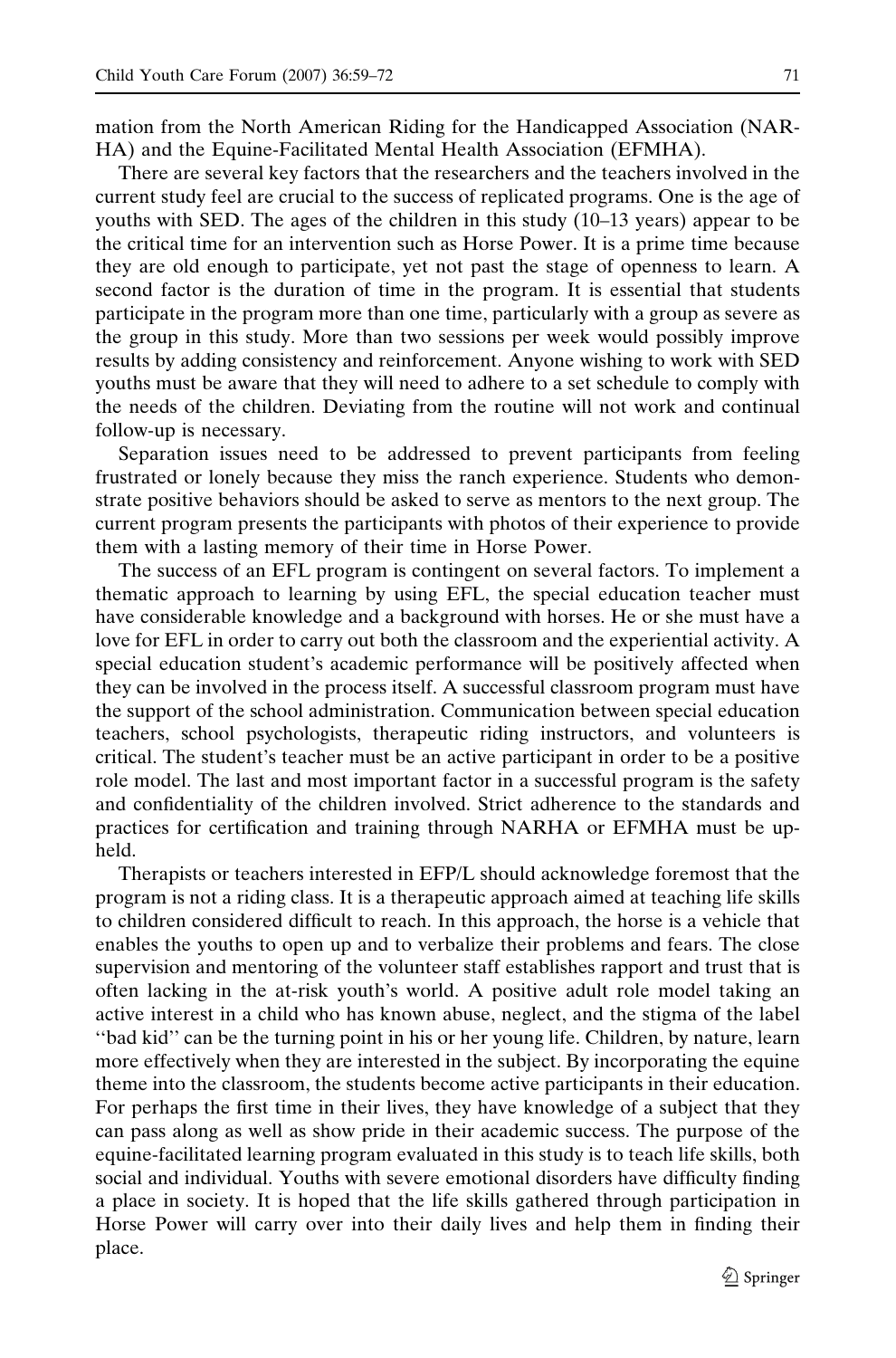mation from the North American Riding for the Handicapped Association (NAR-HA) and the Equine-Facilitated Mental Health Association (EFMHA).

There are several key factors that the researchers and the teachers involved in the current study feel are crucial to the success of replicated programs. One is the age of youths with SED. The ages of the children in this study (10–13 years) appear to be the critical time for an intervention such as Horse Power. It is a prime time because they are old enough to participate, yet not past the stage of openness to learn. A second factor is the duration of time in the program. It is essential that students participate in the program more than one time, particularly with a group as severe as the group in this study. More than two sessions per week would possibly improve results by adding consistency and reinforcement. Anyone wishing to work with SED youths must be aware that they will need to adhere to a set schedule to comply with the needs of the children. Deviating from the routine will not work and continual follow-up is necessary.

Separation issues need to be addressed to prevent participants from feeling frustrated or lonely because they miss the ranch experience. Students who demonstrate positive behaviors should be asked to serve as mentors to the next group. The current program presents the participants with photos of their experience to provide them with a lasting memory of their time in Horse Power.

The success of an EFL program is contingent on several factors. To implement a thematic approach to learning by using EFL, the special education teacher must have considerable knowledge and a background with horses. He or she must have a love for EFL in order to carry out both the classroom and the experiential activity. A special education student's academic performance will be positively affected when they can be involved in the process itself. A successful classroom program must have the support of the school administration. Communication between special education teachers, school psychologists, therapeutic riding instructors, and volunteers is critical. The student's teacher must be an active participant in order to be a positive role model. The last and most important factor in a successful program is the safety and confidentiality of the children involved. Strict adherence to the standards and practices for certification and training through NARHA or EFMHA must be upheld.

Therapists or teachers interested in EFP/L should acknowledge foremost that the program is not a riding class. It is a therapeutic approach aimed at teaching life skills to children considered difficult to reach. In this approach, the horse is a vehicle that enables the youths to open up and to verbalize their problems and fears. The close supervision and mentoring of the volunteer staff establishes rapport and trust that is often lacking in the at-risk youth's world. A positive adult role model taking an active interest in a child who has known abuse, neglect, and the stigma of the label "bad kid" can be the turning point in his or her young life. Children, by nature, learn more effectively when they are interested in the subject. By incorporating the equine theme into the classroom, the students become active participants in their education. For perhaps the first time in their lives, they have knowledge of a subject that they can pass along as well as show pride in their academic success. The purpose of the equine-facilitated learning program evaluated in this study is to teach life skills, both social and individual. Youths with severe emotional disorders have difficulty finding a place in society. It is hoped that the life skills gathered through participation in Horse Power will carry over into their daily lives and help them in finding their place.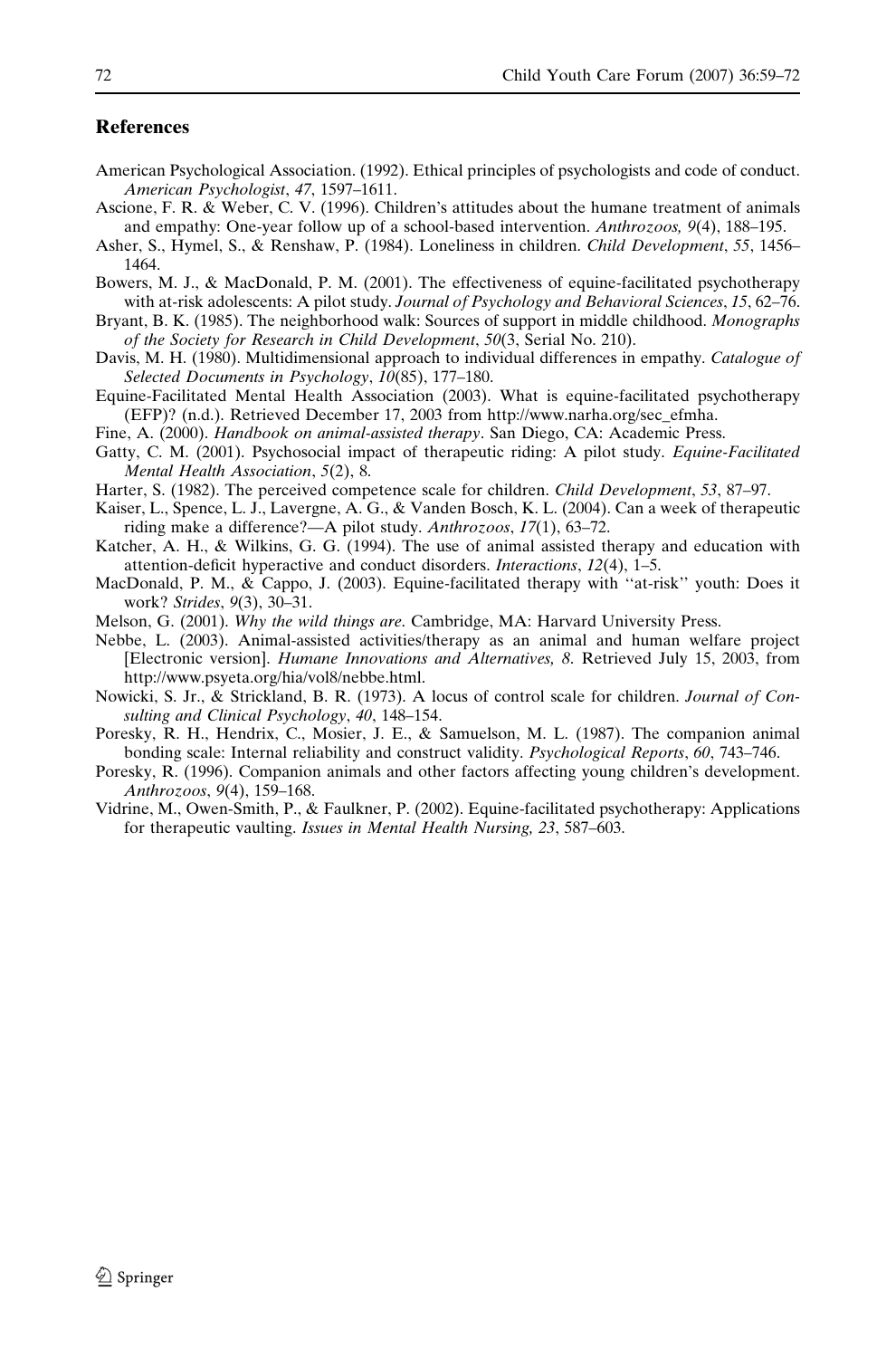#### References

- American Psychological Association. (1992). Ethical principles of psychologists and code of conduct. American Psychologist, 47, 1597–1611.
- Ascione, F. R. & Weber, C. V. (1996). Children's attitudes about the humane treatment of animals and empathy: One-year follow up of a school-based intervention. Anthrozoos, 9(4), 188–195.
- Asher, S., Hymel, S., & Renshaw, P. (1984). Loneliness in children. Child Development, 55, 1456– 1464.
- Bowers, M. J., & MacDonald, P. M. (2001). The effectiveness of equine-facilitated psychotherapy with at-risk adolescents: A pilot study. Journal of Psychology and Behavioral Sciences, 15, 62–76.
- Bryant, B. K. (1985). The neighborhood walk: Sources of support in middle childhood. Monographs of the Society for Research in Child Development, 50(3, Serial No. 210).
- Davis, M. H. (1980). Multidimensional approach to individual differences in empathy. Catalogue of Selected Documents in Psychology, 10(85), 177–180.
- Equine-Facilitated Mental Health Association (2003). What is equine-facilitated psychotherapy (EFP)? (n.d.). Retrieved December 17, 2003 from http://www.narha.org/sec\_efmha.
- Fine, A. (2000). Handbook on animal-assisted therapy. San Diego, CA: Academic Press.
- Gatty, C. M. (2001). Psychosocial impact of therapeutic riding: A pilot study. *Equine-Facilitated* Mental Health Association, 5(2), 8.
- Harter, S. (1982). The perceived competence scale for children. Child Development, 53, 87–97.
- Kaiser, L., Spence, L. J., Lavergne, A. G., & Vanden Bosch, K. L. (2004). Can a week of therapeutic riding make a difference?—A pilot study. Anthrozoos, 17(1), 63–72.
- Katcher, A. H., & Wilkins, G. G. (1994). The use of animal assisted therapy and education with attention-deficit hyperactive and conduct disorders. Interactions, 12(4), 1–5.
- MacDonald, P. M., & Cappo, J. (2003). Equine-facilitated therapy with ''at-risk'' youth: Does it work? Strides, 9(3), 30–31.
- Melson, G. (2001). Why the wild things are. Cambridge, MA: Harvard University Press.
- Nebbe, L. (2003). Animal-assisted activities/therapy as an animal and human welfare project [Electronic version]. Humane Innovations and Alternatives, 8. Retrieved July 15, 2003, from http://www.psyeta.org/hia/vol8/nebbe.html.
- Nowicki, S. Jr., & Strickland, B. R. (1973). A locus of control scale for children. Journal of Consulting and Clinical Psychology, 40, 148–154.
- Poresky, R. H., Hendrix, C., Mosier, J. E., & Samuelson, M. L. (1987). The companion animal bonding scale: Internal reliability and construct validity. Psychological Reports, 60, 743–746.
- Poresky, R. (1996). Companion animals and other factors affecting young children's development. Anthrozoos, 9(4), 159–168.
- Vidrine, M., Owen-Smith, P., & Faulkner, P. (2002). Equine-facilitated psychotherapy: Applications for therapeutic vaulting. Issues in Mental Health Nursing, 23, 587–603.